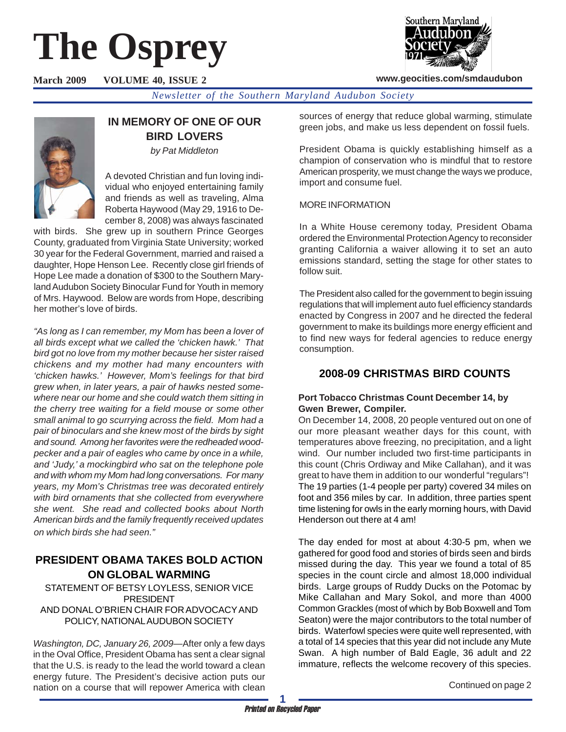# **The Osprey**



**www.geocities.com/smdaudubon**

**March 2009 VOLUME 40, ISSUE 2**

*Newsletter of the Southern Maryland Audubon Society*



# **IN MEMORY OF ONE OF OUR BIRD LOVERS**

*by Pat Middleton*

A devoted Christian and fun loving individual who enjoyed entertaining family and friends as well as traveling, Alma Roberta Haywood (May 29, 1916 to December 8, 2008) was always fascinated

with birds. She grew up in southern Prince Georges County, graduated from Virginia State University; worked 30 year for the Federal Government, married and raised a daughter, Hope Henson Lee. Recently close girl friends of Hope Lee made a donation of \$300 to the Southern Maryland Audubon Society Binocular Fund for Youth in memory of Mrs. Haywood. Below are words from Hope, describing her mother's love of birds.

*"As long as I can remember, my Mom has been a lover of all birds except what we called the 'chicken hawk.' That bird got no love from my mother because her sister raised chickens and my mother had many encounters with 'chicken hawks.' However, Mom's feelings for that bird grew when, in later years, a pair of hawks nested somewhere near our home and she could watch them sitting in the cherry tree waiting for a field mouse or some other small animal to go scurrying across the field. Mom had a pair of binoculars and she knew most of the birds by sight and sound. Among her favorites were the redheaded woodpecker and a pair of eagles who came by once in a while, and 'Judy,' a mockingbird who sat on the telephone pole and with whom my Mom had long conversations. For many years, my Mom's Christmas tree was decorated entirely with bird ornaments that she collected from everywhere she went. She read and collected books about North American birds and the family frequently received updates on which birds she had seen."*

# **PRESIDENT OBAMA TAKES BOLD ACTION ON GLOBAL WARMING**

STATEMENT OF BETSY LOYLESS, SENIOR VICE PRESIDENT AND DONAL O'BRIEN CHAIR FOR ADVOCACY AND POLICY, NATIONAL AUDUBON SOCIETY

*Washington, DC, January 26, 2009*—After only a few days in the Oval Office, President Obama has sent a clear signal that the U.S. is ready to the lead the world toward a clean energy future. The President's decisive action puts our nation on a course that will repower America with clean sources of energy that reduce global warming, stimulate green jobs, and make us less dependent on fossil fuels.

President Obama is quickly establishing himself as a champion of conservation who is mindful that to restore American prosperity, we must change the ways we produce, import and consume fuel.

## MORE INFORMATION

In a White House ceremony today, President Obama ordered the Environmental Protection Agency to reconsider granting California a waiver allowing it to set an auto emissions standard, setting the stage for other states to follow suit.

The President also called for the government to begin issuing regulations that will implement auto fuel efficiency standards enacted by Congress in 2007 and he directed the federal government to make its buildings more energy efficient and to find new ways for federal agencies to reduce energy consumption.

# **2008-09 CHRISTMAS BIRD COUNTS**

## **Port Tobacco Christmas Count December 14, by Gwen Brewer, Compiler.**

On December 14, 2008, 20 people ventured out on one of our more pleasant weather days for this count, with temperatures above freezing, no precipitation, and a light wind. Our number included two first-time participants in this count (Chris Ordiway and Mike Callahan), and it was great to have them in addition to our wonderful "regulars"! The 19 parties (1-4 people per party) covered 34 miles on foot and 356 miles by car. In addition, three parties spent time listening for owls in the early morning hours, with David Henderson out there at 4 am!

The day ended for most at about 4:30-5 pm, when we gathered for good food and stories of birds seen and birds missed during the day. This year we found a total of 85 species in the count circle and almost 18,000 individual birds. Large groups of Ruddy Ducks on the Potomac by Mike Callahan and Mary Sokol, and more than 4000 Common Grackles (most of which by Bob Boxwell and Tom Seaton) were the major contributors to the total number of birds. Waterfowl species were quite well represented, with a total of 14 species that this year did not include any Mute Swan. A high number of Bald Eagle, 36 adult and 22 immature, reflects the welcome recovery of this species.

Continued on page 2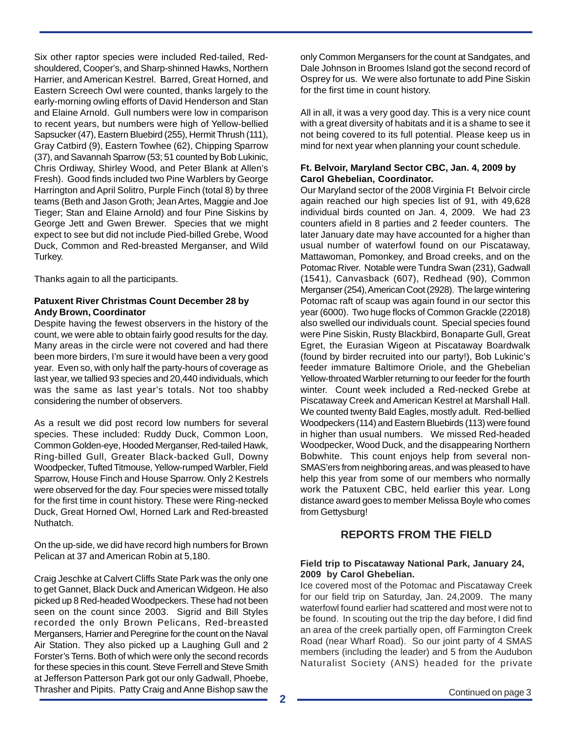Six other raptor species were included Red-tailed, Redshouldered, Cooper's, and Sharp-shinned Hawks, Northern Harrier, and American Kestrel. Barred, Great Horned, and Eastern Screech Owl were counted, thanks largely to the early-morning owling efforts of David Henderson and Stan and Elaine Arnold. Gull numbers were low in comparison to recent years, but numbers were high of Yellow-bellied Sapsucker (47), Eastern Bluebird (255), Hermit Thrush (111), Gray Catbird (9), Eastern Towhee (62), Chipping Sparrow (37), and Savannah Sparrow (53; 51 counted by Bob Lukinic, Chris Ordiway, Shirley Wood, and Peter Blank at Allen's Fresh). Good finds included two Pine Warblers by George Harrington and April Solitro, Purple Finch (total 8) by three teams (Beth and Jason Groth; Jean Artes, Maggie and Joe Tieger; Stan and Elaine Arnold) and four Pine Siskins by George Jett and Gwen Brewer. Species that we might expect to see but did not include Pied-billed Grebe, Wood Duck, Common and Red-breasted Merganser, and Wild Turkey.

Thanks again to all the participants.

#### **Patuxent River Christmas Count December 28 by Andy Brown, Coordinator**

Despite having the fewest observers in the history of the count, we were able to obtain fairly good results for the day. Many areas in the circle were not covered and had there been more birders, I'm sure it would have been a very good year. Even so, with only half the party-hours of coverage as last year, we tallied 93 species and 20,440 individuals, which was the same as last year's totals. Not too shabby considering the number of observers.

As a result we did post record low numbers for several species. These included: Ruddy Duck, Common Loon, Common Golden-eye, Hooded Merganser, Red-tailed Hawk, Ring-billed Gull, Greater Black-backed Gull, Downy Woodpecker, Tufted Titmouse, Yellow-rumped Warbler, Field Sparrow, House Finch and House Sparrow. Only 2 Kestrels were observed for the day. Four species were missed totally for the first time in count history. These were Ring-necked Duck, Great Horned Owl, Horned Lark and Red-breasted Nuthatch.

On the up-side, we did have record high numbers for Brown Pelican at 37 and American Robin at 5,180.

Craig Jeschke at Calvert Cliffs State Park was the only one to get Gannet, Black Duck and American Widgeon. He also picked up 8 Red-headed Woodpeckers. These had not been seen on the count since 2003. Sigrid and Bill Styles recorded the only Brown Pelicans, Red-breasted Mergansers, Harrier and Peregrine for the count on the Naval Air Station. They also picked up a Laughing Gull and 2 Forster's Terns. Both of which were only the second records for these species in this count. Steve Ferrell and Steve Smith at Jefferson Patterson Park got our only Gadwall, Phoebe, Thrasher and Pipits. Patty Craig and Anne Bishop saw the only Common Mergansers for the count at Sandgates, and Dale Johnson in Broomes Island got the second record of Osprey for us. We were also fortunate to add Pine Siskin for the first time in count history.

All in all, it was a very good day. This is a very nice count with a great diversity of habitats and it is a shame to see it not being covered to its full potential. Please keep us in mind for next year when planning your count schedule.

#### **Ft. Belvoir, Maryland Sector CBC, Jan. 4, 2009 by Carol Ghebelian, Coordinator.**

Our Maryland sector of the 2008 Virginia Ft Belvoir circle again reached our high species list of 91, with 49,628 individual birds counted on Jan. 4, 2009. We had 23 counters afield in 8 parties and 2 feeder counters. The later January date may have accounted for a higher than usual number of waterfowl found on our Piscataway, Mattawoman, Pomonkey, and Broad creeks, and on the Potomac River. Notable were Tundra Swan (231), Gadwall (1541), Canvasback (607), Redhead (90), Common Merganser (254), American Coot (2928). The large wintering Potomac raft of scaup was again found in our sector this year (6000). Two huge flocks of Common Grackle (22018) also swelled our individuals count. Special species found were Pine Siskin, Rusty Blackbird, Bonaparte Gull, Great Egret, the Eurasian Wigeon at Piscataway Boardwalk (found by birder recruited into our party!), Bob Lukinic's feeder immature Baltimore Oriole, and the Ghebelian Yellow-throated Warbler returning to our feeder for the fourth winter. Count week included a Red-necked Grebe at Piscataway Creek and American Kestrel at Marshall Hall. We counted twenty Bald Eagles, mostly adult. Red-bellied Woodpeckers (114) and Eastern Bluebirds (113) were found in higher than usual numbers. We missed Red-headed Woodpecker, Wood Duck, and the disappearing Northern Bobwhite. This count enjoys help from several non-SMAS'ers from neighboring areas, and was pleased to have help this year from some of our members who normally work the Patuxent CBC, held earlier this year. Long distance award goes to member Melissa Boyle who comes from Gettysburg!

## **REPORTS FROM THE FIELD**

### **Field trip to Piscataway National Park, January 24, 2009 by Carol Ghebelian.**

Ice covered most of the Potomac and Piscataway Creek for our field trip on Saturday, Jan. 24,2009. The many waterfowl found earlier had scattered and most were not to be found. In scouting out the trip the day before, I did find an area of the creek partially open, off Farmington Creek Road (near Wharf Road). So our joint party of 4 SMAS members (including the leader) and 5 from the Audubon Naturalist Society (ANS) headed for the private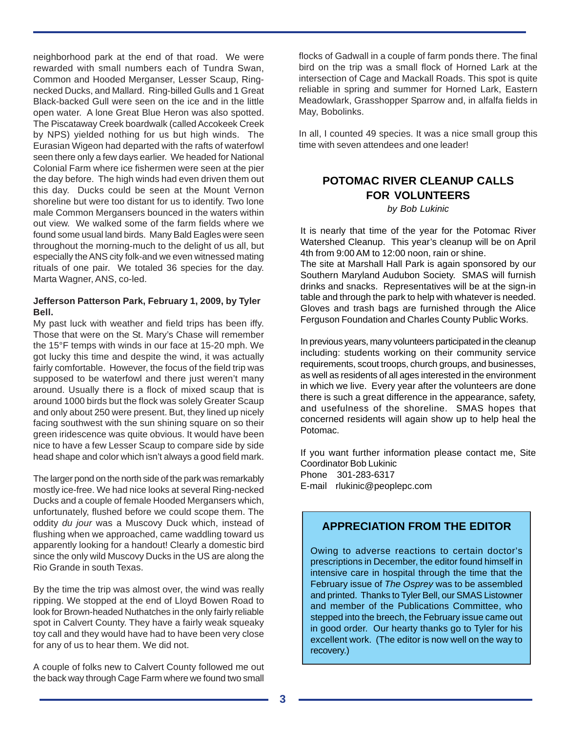neighborhood park at the end of that road. We were rewarded with small numbers each of Tundra Swan, Common and Hooded Merganser, Lesser Scaup, Ringnecked Ducks, and Mallard. Ring-billed Gulls and 1 Great Black-backed Gull were seen on the ice and in the little open water. A lone Great Blue Heron was also spotted. The Piscataway Creek boardwalk (called Accokeek Creek by NPS) yielded nothing for us but high winds. The Eurasian Wigeon had departed with the rafts of waterfowl seen there only a few days earlier. We headed for National Colonial Farm where ice fishermen were seen at the pier the day before. The high winds had even driven them out this day. Ducks could be seen at the Mount Vernon shoreline but were too distant for us to identify. Two lone male Common Mergansers bounced in the waters within out view. We walked some of the farm fields where we found some usual land birds. Many Bald Eagles were seen throughout the morning-much to the delight of us all, but especially the ANS city folk-and we even witnessed mating rituals of one pair. We totaled 36 species for the day. Marta Wagner, ANS, co-led.

#### **Jefferson Patterson Park, February 1, 2009, by Tyler Bell.**

My past luck with weather and field trips has been iffy. Those that were on the St. Mary's Chase will remember the 15°F temps with winds in our face at 15-20 mph. We got lucky this time and despite the wind, it was actually fairly comfortable. However, the focus of the field trip was supposed to be waterfowl and there just weren't many around. Usually there is a flock of mixed scaup that is around 1000 birds but the flock was solely Greater Scaup and only about 250 were present. But, they lined up nicely facing southwest with the sun shining square on so their green iridescence was quite obvious. It would have been nice to have a few Lesser Scaup to compare side by side head shape and color which isn't always a good field mark.

The larger pond on the north side of the park was remarkably mostly ice-free. We had nice looks at several Ring-necked Ducks and a couple of female Hooded Mergansers which, unfortunately, flushed before we could scope them. The oddity *du jour* was a Muscovy Duck which, instead of flushing when we approached, came waddling toward us apparently looking for a handout! Clearly a domestic bird since the only wild Muscovy Ducks in the US are along the Rio Grande in south Texas.

By the time the trip was almost over, the wind was really ripping. We stopped at the end of Lloyd Bowen Road to look for Brown-headed Nuthatches in the only fairly reliable spot in Calvert County. They have a fairly weak squeaky toy call and they would have had to have been very close for any of us to hear them. We did not.

A couple of folks new to Calvert County followed me out the back way through Cage Farm where we found two small

flocks of Gadwall in a couple of farm ponds there. The final bird on the trip was a small flock of Horned Lark at the intersection of Cage and Mackall Roads. This spot is quite reliable in spring and summer for Horned Lark, Eastern Meadowlark, Grasshopper Sparrow and, in alfalfa fields in May, Bobolinks.

In all, I counted 49 species. It was a nice small group this time with seven attendees and one leader!

# **POTOMAC RIVER CLEANUP CALLS FOR VOLUNTEERS**

*by Bob Lukinic*

It is nearly that time of the year for the Potomac River Watershed Cleanup. This year's cleanup will be on April 4th from 9:00 AM to 12:00 noon, rain or shine.

The site at Marshall Hall Park is again sponsored by our Southern Maryland Audubon Society. SMAS will furnish drinks and snacks. Representatives will be at the sign-in table and through the park to help with whatever is needed. Gloves and trash bags are furnished through the Alice Ferguson Foundation and Charles County Public Works.

In previous years, many volunteers participated in the cleanup including: students working on their community service requirements, scout troops, church groups, and businesses, as well as residents of all ages interested in the environment in which we live. Every year after the volunteers are done there is such a great difference in the appearance, safety, and usefulness of the shoreline. SMAS hopes that concerned residents will again show up to help heal the Potomac.

If you want further information please contact me, Site Coordinator Bob Lukinic Phone 301-283-6317 E-mail rlukinic@peoplepc.com

## **APPRECIATION FROM THE EDITOR**

Owing to adverse reactions to certain doctor's prescriptions in December, the editor found himself in intensive care in hospital through the time that the February issue of *The Osprey* was to be assembled and printed. Thanks to Tyler Bell, our SMAS Listowner and member of the Publications Committee, who stepped into the breech, the February issue came out in good order. Our hearty thanks go to Tyler for his excellent work. (The editor is now well on the way to recovery.)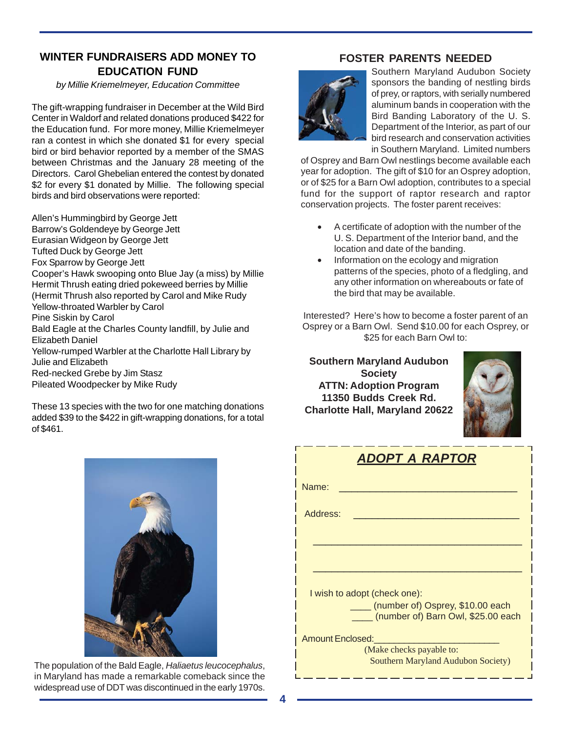## **WINTER FUNDRAISERS ADD MONEY TO EDUCATION FUND**

*by Millie Kriemelmeyer, Education Committee*

The gift-wrapping fundraiser in December at the Wild Bird Center in Waldorf and related donations produced \$422 for the Education fund. For more money, Millie Kriemelmeyer ran a contest in which she donated \$1 for every special bird or bird behavior reported by a member of the SMAS between Christmas and the January 28 meeting of the Directors. Carol Ghebelian entered the contest by donated \$2 for every \$1 donated by Millie. The following special birds and bird observations were reported:

Allen's Hummingbird by George Jett Barrow's Goldendeye by George Jett Eurasian Widgeon by George Jett Tufted Duck by George Jett Fox Sparrow by George Jett Cooper's Hawk swooping onto Blue Jay (a miss) by Millie Hermit Thrush eating dried pokeweed berries by Millie (Hermit Thrush also reported by Carol and Mike Rudy Yellow-throated Warbler by Carol Pine Siskin by Carol Bald Eagle at the Charles County landfill, by Julie and Elizabeth Daniel Yellow-rumped Warbler at the Charlotte Hall Library by Julie and Elizabeth Red-necked Grebe by Jim Stasz Pileated Woodpecker by Mike Rudy

These 13 species with the two for one matching donations added \$39 to the \$422 in gift-wrapping donations, for a total of \$461.

## **FOSTER PARENTS NEEDED**



Southern Maryland Audubon Society sponsors the banding of nestling birds of prey, or raptors, with serially numbered aluminum bands in cooperation with the Bird Banding Laboratory of the U. S. Department of the Interior, as part of our bird research and conservation activities in Southern Maryland. Limited numbers

of Osprey and Barn Owl nestlings become available each year for adoption. The gift of \$10 for an Osprey adoption, or of \$25 for a Barn Owl adoption, contributes to a special fund for the support of raptor research and raptor conservation projects. The foster parent receives:

- A certificate of adoption with the number of the U. S. Department of the Interior band, and the location and date of the banding.
- Information on the ecology and migration patterns of the species, photo of a fledgling, and any other information on whereabouts or fate of the bird that may be available.

Interested? Here's how to become a foster parent of an Osprey or a Barn Owl. Send \$10.00 for each Osprey, or \$25 for each Barn Owl to:

**Southern Maryland Audubon Society ATTN: Adoption Program 11350 Budds Creek Rd. Charlotte Hall, Maryland 20622**



|    | <b>ADOPT A RAPTOR</b>                                                  |
|----|------------------------------------------------------------------------|
|    | Name:                                                                  |
|    | Address:                                                               |
|    |                                                                        |
|    |                                                                        |
|    | I wish to adopt (check one):                                           |
|    | (number of) Osprey, \$10.00 each<br>(number of) Barn Owl, \$25.00 each |
|    | <b>Amount Enclosed:</b>                                                |
| s, | (Make checks payable to:<br><b>Southern Maryland Audubon Society)</b>  |



The population of the Bald Eagle, *Haliaetus leucocephalus*, in Maryland has made a remarkable comeback since the widespread use of DDT was discontinued in the early 1970s.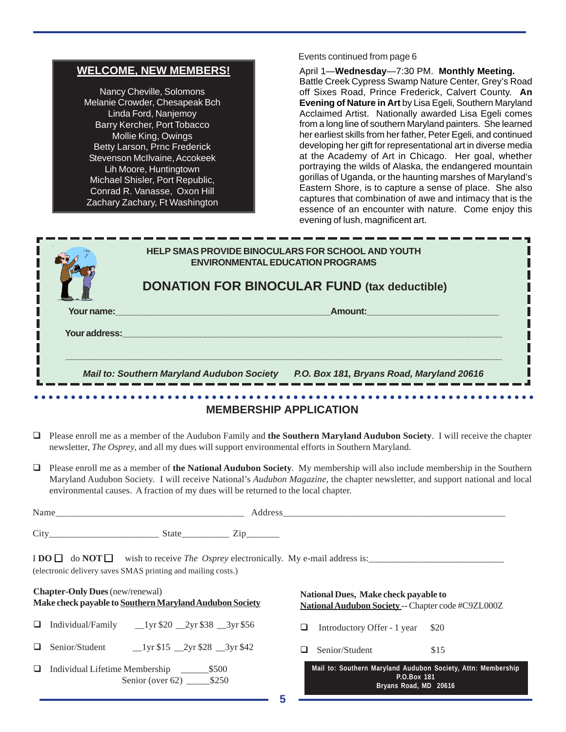|        | <b>WELCOME, NEW MEMBERS!</b><br>Nancy Cheville, Solomons<br>Melanie Crowder, Chesapeak Bch<br>Linda Ford, Nanjemoy<br>Barry Kercher, Port Tobacco<br>Mollie King, Owings<br>Betty Larson, Prnc Frederick<br>Stevenson McIlvaine, Accokeek<br>Lih Moore, Huntingtown<br>Michael Shisler, Port Republic,<br>Conrad R. Vanasse, Oxon Hill<br>Zachary Zachary, Ft Washington | April 1-Wednesday-7:30 PM. Monthly Meeting.<br>Battle Creek Cypress Swamp Nature Center, Grey's Road<br>off Sixes Road, Prince Frederick, Calvert County. An<br>Evening of Nature in Art by Lisa Egeli, Southern Maryland<br>Acclaimed Artist. Nationally awarded Lisa Egeli comes<br>from a long line of southern Maryland painters. She learned<br>her earliest skills from her father, Peter Egeli, and continued<br>developing her gift for representational art in diverse media<br>at the Academy of Art in Chicago. Her goal, whether<br>portraying the wilds of Alaska, the endangered mountain<br>gorillas of Uganda, or the haunting marshes of Maryland's<br>Eastern Shore, is to capture a sense of place. She also<br>captures that combination of awe and intimacy that is the<br>essence of an encounter with nature. Come enjoy this<br>evening of lush, magnificent art. |
|--------|--------------------------------------------------------------------------------------------------------------------------------------------------------------------------------------------------------------------------------------------------------------------------------------------------------------------------------------------------------------------------|-------------------------------------------------------------------------------------------------------------------------------------------------------------------------------------------------------------------------------------------------------------------------------------------------------------------------------------------------------------------------------------------------------------------------------------------------------------------------------------------------------------------------------------------------------------------------------------------------------------------------------------------------------------------------------------------------------------------------------------------------------------------------------------------------------------------------------------------------------------------------------------------|
|        | Your name:                                                                                                                                                                                                                                                                                                                                                               | HELP SMAS PROVIDE BINOCULARS FOR SCHOOL AND YOUTH<br><b>ENVIRONMENTAL EDUCATION PROGRAMS</b><br><b>DONATION FOR BINOCULAR FUND (tax deductible)</b><br><b>Amount:</b> Amount:                                                                                                                                                                                                                                                                                                                                                                                                                                                                                                                                                                                                                                                                                                             |
|        | Your address:                                                                                                                                                                                                                                                                                                                                                            | Mail to: Southern Maryland Audubon Society P.O. Box 181, Bryans Road, Maryland 20616                                                                                                                                                                                                                                                                                                                                                                                                                                                                                                                                                                                                                                                                                                                                                                                                      |
| ❏      | newsletter, The Osprey, and all my dues will support environmental efforts in Southern Maryland.                                                                                                                                                                                                                                                                         | <b>MEMBERSHIP APPLICATION</b><br>Please enroll me as a member of the Audubon Family and the Southern Maryland Audubon Society. I will receive the chapter                                                                                                                                                                                                                                                                                                                                                                                                                                                                                                                                                                                                                                                                                                                                 |
|        | environmental causes. A fraction of my dues will be returned to the local chapter.                                                                                                                                                                                                                                                                                       | <b>Q</b> Please enroll me as a member of the National Audubon Society. My membership will also include membership in the Southern<br>Maryland Audubon Society. I will receive National's Audubon Magazine, the chapter newsletter, and support national and local                                                                                                                                                                                                                                                                                                                                                                                                                                                                                                                                                                                                                         |
|        |                                                                                                                                                                                                                                                                                                                                                                          |                                                                                                                                                                                                                                                                                                                                                                                                                                                                                                                                                                                                                                                                                                                                                                                                                                                                                           |
|        |                                                                                                                                                                                                                                                                                                                                                                          |                                                                                                                                                                                                                                                                                                                                                                                                                                                                                                                                                                                                                                                                                                                                                                                                                                                                                           |
|        |                                                                                                                                                                                                                                                                                                                                                                          |                                                                                                                                                                                                                                                                                                                                                                                                                                                                                                                                                                                                                                                                                                                                                                                                                                                                                           |
|        | (electronic delivery saves SMAS printing and mailing costs.)                                                                                                                                                                                                                                                                                                             |                                                                                                                                                                                                                                                                                                                                                                                                                                                                                                                                                                                                                                                                                                                                                                                                                                                                                           |
|        | <b>Chapter-Only Dues</b> (new/renewal)<br>Make check payable to Southern Maryland Audubon Society                                                                                                                                                                                                                                                                        | National Dues, Make check payable to<br>National Audubon Society -- Chapter code #C9ZL000Z                                                                                                                                                                                                                                                                                                                                                                                                                                                                                                                                                                                                                                                                                                                                                                                                |
|        | $\Box$ Individual/Family $\Box$ 1 yr \$20 $\Box$ 2 yr \$38 $\Box$ 3 yr \$56                                                                                                                                                                                                                                                                                              | ❏<br>Introductory Offer - 1 year<br>\$20                                                                                                                                                                                                                                                                                                                                                                                                                                                                                                                                                                                                                                                                                                                                                                                                                                                  |
| $\Box$ |                                                                                                                                                                                                                                                                                                                                                                          | Senior/Student<br>❏<br>\$15                                                                                                                                                                                                                                                                                                                                                                                                                                                                                                                                                                                                                                                                                                                                                                                                                                                               |

Events continued from page 6